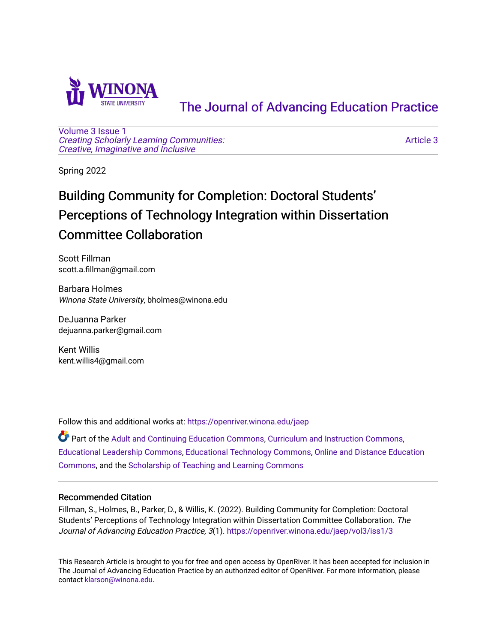

# [The Journal of Advancing Education Practice](https://openriver.winona.edu/jaep)

[Volume 3](https://openriver.winona.edu/jaep/vol3) [Issue 1](https://openriver.winona.edu/jaep/vol3/iss1)  [Creating Scholarly Learning Communities:](https://openriver.winona.edu/jaep/vol3/iss1)  [Creative, Imaginative and Inclusive](https://openriver.winona.edu/jaep/vol3/iss1)

[Article 3](https://openriver.winona.edu/jaep/vol3/iss1/3) 

Spring 2022

# Building Community for Completion: Doctoral Students' Perceptions of Technology Integration within Dissertation Committee Collaboration

Scott Fillman scott.a.fillman@gmail.com

Barbara Holmes Winona State University, bholmes@winona.edu

DeJuanna Parker dejuanna.parker@gmail.com

Kent Willis kent.willis4@gmail.com

Follow this and additional works at: [https://openriver.winona.edu/jaep](https://openriver.winona.edu/jaep?utm_source=openriver.winona.edu%2Fjaep%2Fvol3%2Fiss1%2F3&utm_medium=PDF&utm_campaign=PDFCoverPages) 

Part of the [Adult and Continuing Education Commons,](http://network.bepress.com/hgg/discipline/1375?utm_source=openriver.winona.edu%2Fjaep%2Fvol3%2Fiss1%2F3&utm_medium=PDF&utm_campaign=PDFCoverPages) [Curriculum and Instruction Commons,](http://network.bepress.com/hgg/discipline/786?utm_source=openriver.winona.edu%2Fjaep%2Fvol3%2Fiss1%2F3&utm_medium=PDF&utm_campaign=PDFCoverPages) [Educational Leadership Commons](http://network.bepress.com/hgg/discipline/1230?utm_source=openriver.winona.edu%2Fjaep%2Fvol3%2Fiss1%2F3&utm_medium=PDF&utm_campaign=PDFCoverPages), [Educational Technology Commons](http://network.bepress.com/hgg/discipline/1415?utm_source=openriver.winona.edu%2Fjaep%2Fvol3%2Fiss1%2F3&utm_medium=PDF&utm_campaign=PDFCoverPages), [Online and Distance Education](http://network.bepress.com/hgg/discipline/1296?utm_source=openriver.winona.edu%2Fjaep%2Fvol3%2Fiss1%2F3&utm_medium=PDF&utm_campaign=PDFCoverPages) [Commons](http://network.bepress.com/hgg/discipline/1296?utm_source=openriver.winona.edu%2Fjaep%2Fvol3%2Fiss1%2F3&utm_medium=PDF&utm_campaign=PDFCoverPages), and the [Scholarship of Teaching and Learning Commons](http://network.bepress.com/hgg/discipline/1328?utm_source=openriver.winona.edu%2Fjaep%2Fvol3%2Fiss1%2F3&utm_medium=PDF&utm_campaign=PDFCoverPages) 

### Recommended Citation

Fillman, S., Holmes, B., Parker, D., & Willis, K. (2022). Building Community for Completion: Doctoral Students' Perceptions of Technology Integration within Dissertation Committee Collaboration. The Journal of Advancing Education Practice, 3(1). [https://openriver.winona.edu/jaep/vol3/iss1/3](https://openriver.winona.edu/jaep/vol3/iss1/3?utm_source=openriver.winona.edu%2Fjaep%2Fvol3%2Fiss1%2F3&utm_medium=PDF&utm_campaign=PDFCoverPages)

This Research Article is brought to you for free and open access by OpenRiver. It has been accepted for inclusion in The Journal of Advancing Education Practice by an authorized editor of OpenRiver. For more information, please contact [klarson@winona.edu](mailto:klarson@winona.edu).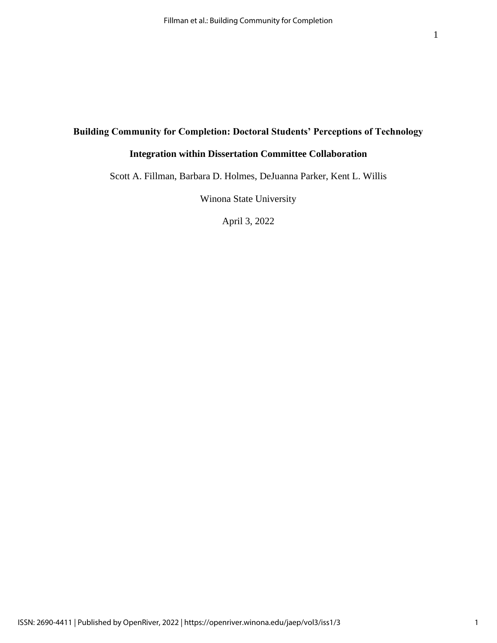## **Building Community for Completion: Doctoral Students' Perceptions of Technology**

# **Integration within Dissertation Committee Collaboration**

Scott A. Fillman, Barbara D. Holmes, DeJuanna Parker, Kent L. Willis

Winona State University

April 3, 2022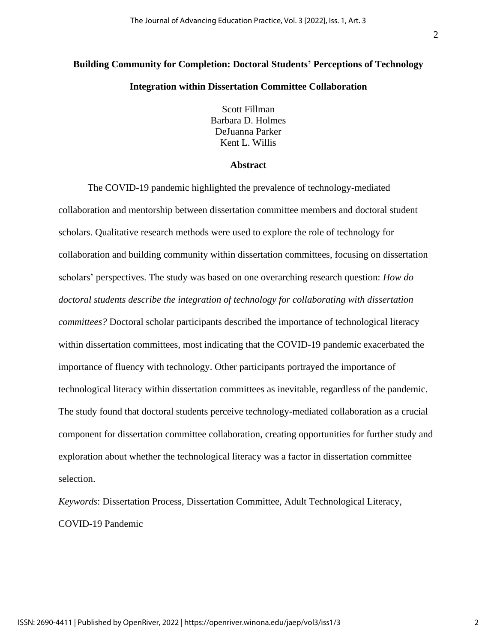# **Building Community for Completion: Doctoral Students' Perceptions of Technology**

#### **Integration within Dissertation Committee Collaboration**

Scott Fillman Barbara D. Holmes DeJuanna Parker Kent L. Willis

#### **Abstract**

The COVID-19 pandemic highlighted the prevalence of technology-mediated collaboration and mentorship between dissertation committee members and doctoral student scholars. Qualitative research methods were used to explore the role of technology for collaboration and building community within dissertation committees, focusing on dissertation scholars' perspectives. The study was based on one overarching research question: *How do doctoral students describe the integration of technology for collaborating with dissertation committees?* Doctoral scholar participants described the importance of technological literacy within dissertation committees, most indicating that the COVID-19 pandemic exacerbated the importance of fluency with technology. Other participants portrayed the importance of technological literacy within dissertation committees as inevitable, regardless of the pandemic. The study found that doctoral students perceive technology-mediated collaboration as a crucial component for dissertation committee collaboration, creating opportunities for further study and exploration about whether the technological literacy was a factor in dissertation committee selection.

*Keywords*: Dissertation Process, Dissertation Committee, Adult Technological Literacy, COVID-19 Pandemic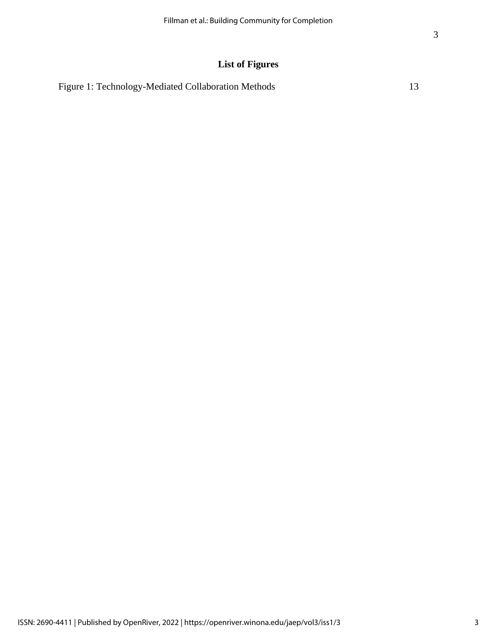# **List of Figures**

| Figure 1: Technology-Mediated Collaboration Methods |  |
|-----------------------------------------------------|--|
|-----------------------------------------------------|--|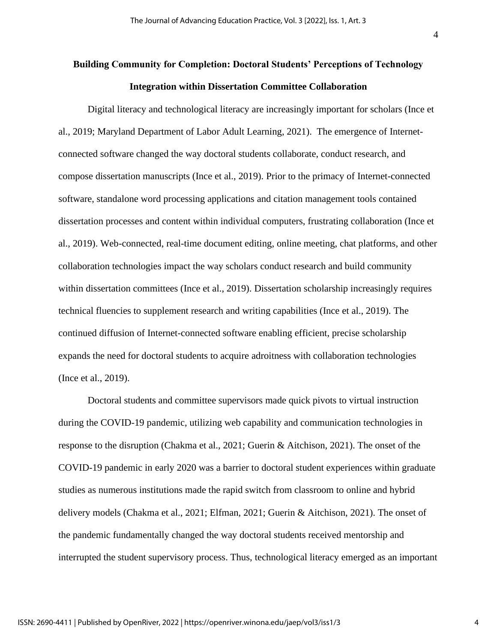# **Building Community for Completion: Doctoral Students' Perceptions of Technology Integration within Dissertation Committee Collaboration**

Digital literacy and technological literacy are increasingly important for scholars (Ince et al., 2019; Maryland Department of Labor Adult Learning, 2021). The emergence of Internetconnected software changed the way doctoral students collaborate, conduct research, and compose dissertation manuscripts (Ince et al., 2019). Prior to the primacy of Internet-connected software, standalone word processing applications and citation management tools contained dissertation processes and content within individual computers, frustrating collaboration (Ince et al., 2019). Web-connected, real-time document editing, online meeting, chat platforms, and other collaboration technologies impact the way scholars conduct research and build community within dissertation committees (Ince et al., 2019). Dissertation scholarship increasingly requires technical fluencies to supplement research and writing capabilities (Ince et al., 2019). The continued diffusion of Internet-connected software enabling efficient, precise scholarship expands the need for doctoral students to acquire adroitness with collaboration technologies (Ince et al., 2019).

Doctoral students and committee supervisors made quick pivots to virtual instruction during the COVID-19 pandemic, utilizing web capability and communication technologies in response to the disruption (Chakma et al., 2021; Guerin & Aitchison, 2021). The onset of the COVID-19 pandemic in early 2020 was a barrier to doctoral student experiences within graduate studies as numerous institutions made the rapid switch from classroom to online and hybrid delivery models (Chakma et al., 2021; Elfman, 2021; Guerin & Aitchison, 2021). The onset of the pandemic fundamentally changed the way doctoral students received mentorship and interrupted the student supervisory process. Thus, technological literacy emerged as an important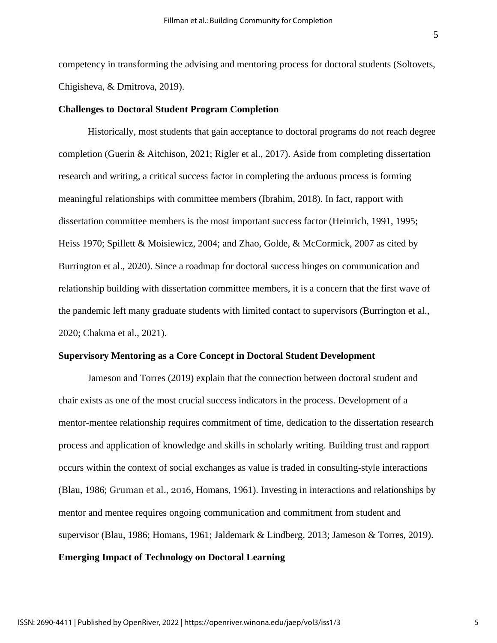competency in transforming the advising and mentoring process for doctoral students (Soltovets, Chigisheva, & Dmitrova, 2019).

#### **Challenges to Doctoral Student Program Completion**

Historically, most students that gain acceptance to doctoral programs do not reach degree completion (Guerin & Aitchison, 2021; Rigler et al., 2017). Aside from completing dissertation research and writing, a critical success factor in completing the arduous process is forming meaningful relationships with committee members (Ibrahim, 2018). In fact, rapport with dissertation committee members is the most important success factor (Heinrich, 1991, 1995; Heiss 1970; Spillett & Moisiewicz, 2004; and Zhao, Golde, & McCormick, 2007 as cited by Burrington et al., 2020). Since a roadmap for doctoral success hinges on communication and relationship building with dissertation committee members, it is a concern that the first wave of the pandemic left many graduate students with limited contact to supervisors (Burrington et al., 2020; Chakma et al., 2021).

#### **Supervisory Mentoring as a Core Concept in Doctoral Student Development**

Jameson and Torres (2019) explain that the connection between doctoral student and chair exists as one of the most crucial success indicators in the process. Development of a mentor-mentee relationship requires commitment of time, dedication to the dissertation research process and application of knowledge and skills in scholarly writing. Building trust and rapport occurs within the context of social exchanges as value is traded in consulting-style interactions (Blau, 1986; Gruman et al., 2016, Homans, 1961). Investing in interactions and relationships by mentor and mentee requires ongoing communication and commitment from student and supervisor (Blau, 1986; Homans, 1961; Jaldemark & Lindberg, 2013; Jameson & Torres, 2019). **Emerging Impact of Technology on Doctoral Learning**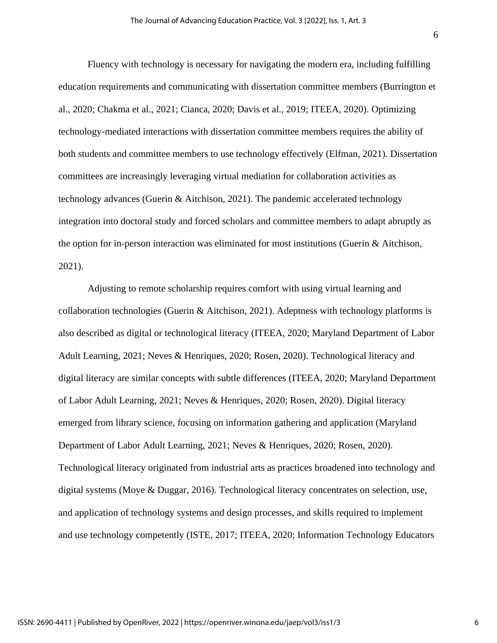Fluency with technology is necessary for navigating the modern era, including fulfilling education requirements and communicating with dissertation committee members (Burrington et al., 2020; Chakma et al., 2021; Cianca, 2020; Davis et al., 2019; ITEEA, 2020). Optimizing technology-mediated interactions with dissertation committee members requires the ability of both students and committee members to use technology effectively (Elfman, 2021). Dissertation committees are increasingly leveraging virtual mediation for collaboration activities as technology advances (Guerin & Aitchison, 2021). The pandemic accelerated technology integration into doctoral study and forced scholars and committee members to adapt abruptly as the option for in-person interaction was eliminated for most institutions (Guerin & Aitchison, 2021).

Adjusting to remote scholarship requires comfort with using virtual learning and collaboration technologies (Guerin & Aitchison, 2021). Adeptness with technology platforms is also described as digital or technological literacy (ITEEA, 2020; Maryland Department of Labor Adult Learning, 2021; Neves & Henriques, 2020; Rosen, 2020). Technological literacy and digital literacy are similar concepts with subtle differences (ITEEA, 2020; Maryland Department of Labor Adult Learning, 2021; Neves & Henriques, 2020; Rosen, 2020). Digital literacy emerged from library science, focusing on information gathering and application (Maryland Department of Labor Adult Learning, 2021; Neves & Henriques, 2020; Rosen, 2020). Technological literacy originated from industrial arts as practices broadened into technology and digital systems (Moye & Duggar, 2016). Technological literacy concentrates on selection, use, and application of technology systems and design processes, and skills required to implement and use technology competently (ISTE, 2017; ITEEA, 2020; Information Technology Educators

ISSN: 2690-4411 | Published by OpenRiver, 2022 | https://openriver.winona.edu/jaep/vol3/iss1/3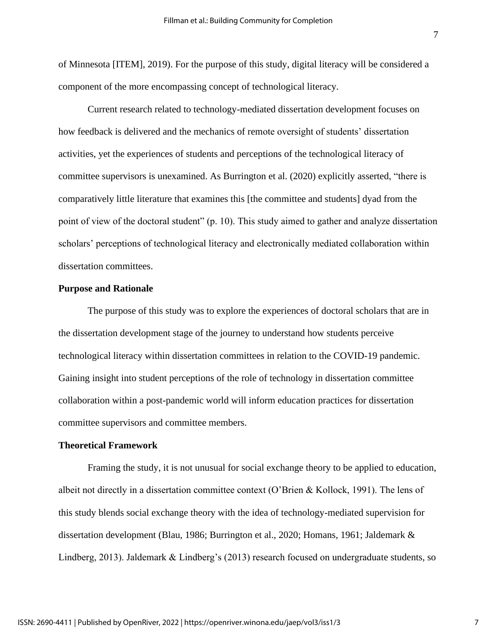of Minnesota [ITEM], 2019). For the purpose of this study, digital literacy will be considered a component of the more encompassing concept of technological literacy.

Current research related to technology-mediated dissertation development focuses on how feedback is delivered and the mechanics of remote oversight of students' dissertation activities, yet the experiences of students and perceptions of the technological literacy of committee supervisors is unexamined. As Burrington et al. (2020) explicitly asserted, "there is comparatively little literature that examines this [the committee and students] dyad from the point of view of the doctoral student" (p. 10). This study aimed to gather and analyze dissertation scholars' perceptions of technological literacy and electronically mediated collaboration within dissertation committees.

#### **Purpose and Rationale**

The purpose of this study was to explore the experiences of doctoral scholars that are in the dissertation development stage of the journey to understand how students perceive technological literacy within dissertation committees in relation to the COVID-19 pandemic. Gaining insight into student perceptions of the role of technology in dissertation committee collaboration within a post-pandemic world will inform education practices for dissertation committee supervisors and committee members.

#### **Theoretical Framework**

Framing the study, it is not unusual for social exchange theory to be applied to education, albeit not directly in a dissertation committee context (O'Brien & Kollock, 1991). The lens of this study blends social exchange theory with the idea of technology-mediated supervision for dissertation development (Blau, 1986; Burrington et al., 2020; Homans, 1961; Jaldemark & Lindberg, 2013). Jaldemark & Lindberg's (2013) research focused on undergraduate students, so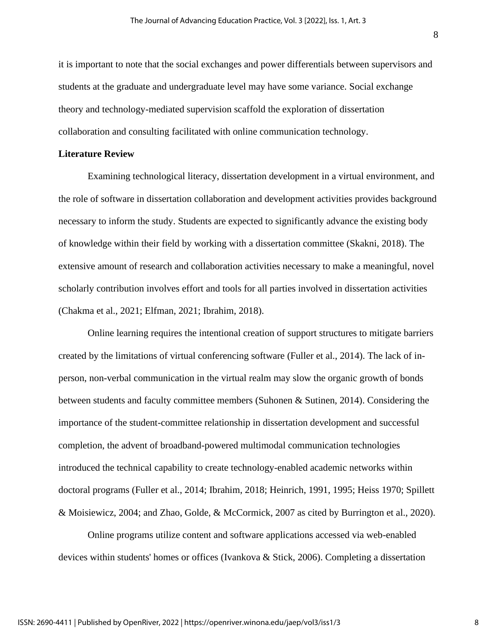it is important to note that the social exchanges and power differentials between supervisors and students at the graduate and undergraduate level may have some variance. Social exchange theory and technology-mediated supervision scaffold the exploration of dissertation collaboration and consulting facilitated with online communication technology.

#### **Literature Review**

Examining technological literacy, dissertation development in a virtual environment, and the role of software in dissertation collaboration and development activities provides background necessary to inform the study. Students are expected to significantly advance the existing body of knowledge within their field by working with a dissertation committee (Skakni, 2018). The extensive amount of research and collaboration activities necessary to make a meaningful, novel scholarly contribution involves effort and tools for all parties involved in dissertation activities (Chakma et al., 2021; Elfman, 2021; Ibrahim, 2018).

Online learning requires the intentional creation of support structures to mitigate barriers created by the limitations of virtual conferencing software (Fuller et al., 2014). The lack of inperson, non-verbal communication in the virtual realm may slow the organic growth of bonds between students and faculty committee members (Suhonen & Sutinen, 2014). Considering the importance of the student-committee relationship in dissertation development and successful completion, the advent of broadband-powered multimodal communication technologies introduced the technical capability to create technology-enabled academic networks within doctoral programs (Fuller et al., 2014; Ibrahim, 2018; Heinrich, 1991, 1995; Heiss 1970; Spillett & Moisiewicz, 2004; and Zhao, Golde, & McCormick, 2007 as cited by Burrington et al., 2020).

Online programs utilize content and software applications accessed via web-enabled devices within students' homes or offices (Ivankova & Stick, 2006). Completing a dissertation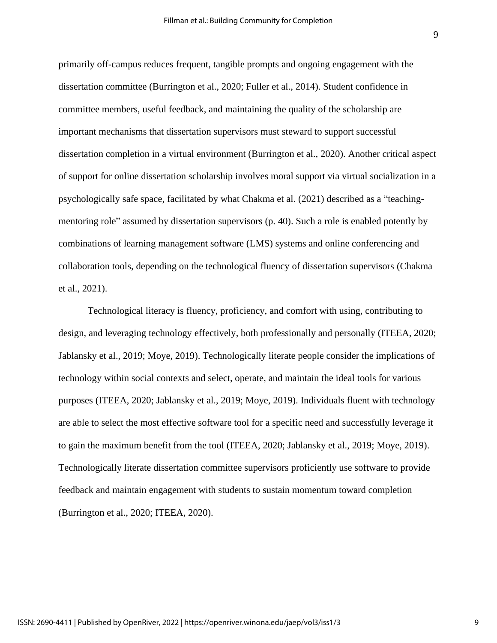primarily off-campus reduces frequent, tangible prompts and ongoing engagement with the dissertation committee (Burrington et al., 2020; Fuller et al., 2014). Student confidence in committee members, useful feedback, and maintaining the quality of the scholarship are important mechanisms that dissertation supervisors must steward to support successful dissertation completion in a virtual environment (Burrington et al., 2020). Another critical aspect of support for online dissertation scholarship involves moral support via virtual socialization in a psychologically safe space, facilitated by what Chakma et al. (2021) described as a "teachingmentoring role" assumed by dissertation supervisors (p. 40). Such a role is enabled potently by combinations of learning management software (LMS) systems and online conferencing and collaboration tools, depending on the technological fluency of dissertation supervisors (Chakma et al., 2021).

Technological literacy is fluency, proficiency, and comfort with using, contributing to design, and leveraging technology effectively, both professionally and personally (ITEEA, 2020; Jablansky et al., 2019; Moye, 2019). Technologically literate people consider the implications of technology within social contexts and select, operate, and maintain the ideal tools for various purposes (ITEEA, 2020; Jablansky et al., 2019; Moye, 2019). Individuals fluent with technology are able to select the most effective software tool for a specific need and successfully leverage it to gain the maximum benefit from the tool (ITEEA, 2020; Jablansky et al., 2019; Moye, 2019). Technologically literate dissertation committee supervisors proficiently use software to provide feedback and maintain engagement with students to sustain momentum toward completion (Burrington et al., 2020; ITEEA, 2020).

9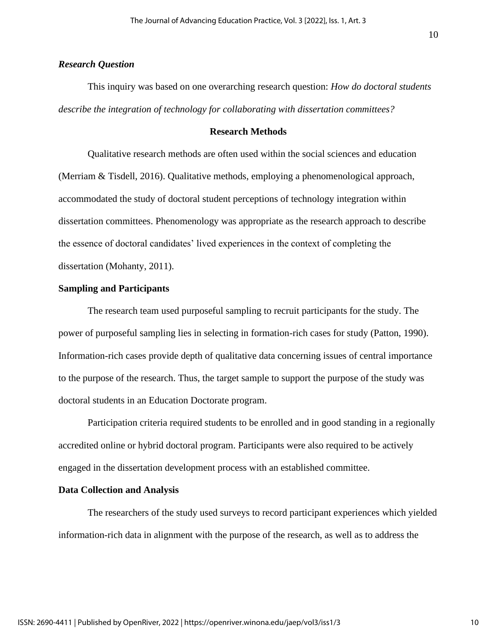### *Research Question*

This inquiry was based on one overarching research question: *How do doctoral students describe the integration of technology for collaborating with dissertation committees?*

#### **Research Methods**

Qualitative research methods are often used within the social sciences and education (Merriam & Tisdell, 2016). Qualitative methods, employing a phenomenological approach, accommodated the study of doctoral student perceptions of technology integration within dissertation committees. Phenomenology was appropriate as the research approach to describe the essence of doctoral candidates' lived experiences in the context of completing the dissertation (Mohanty, 2011).

#### **Sampling and Participants**

The research team used purposeful sampling to recruit participants for the study. The power of purposeful sampling lies in selecting in formation-rich cases for study (Patton, 1990). Information-rich cases provide depth of qualitative data concerning issues of central importance to the purpose of the research. Thus, the target sample to support the purpose of the study was doctoral students in an Education Doctorate program.

Participation criteria required students to be enrolled and in good standing in a regionally accredited online or hybrid doctoral program. Participants were also required to be actively engaged in the dissertation development process with an established committee.

#### **Data Collection and Analysis**

The researchers of the study used surveys to record participant experiences which yielded information-rich data in alignment with the purpose of the research, as well as to address the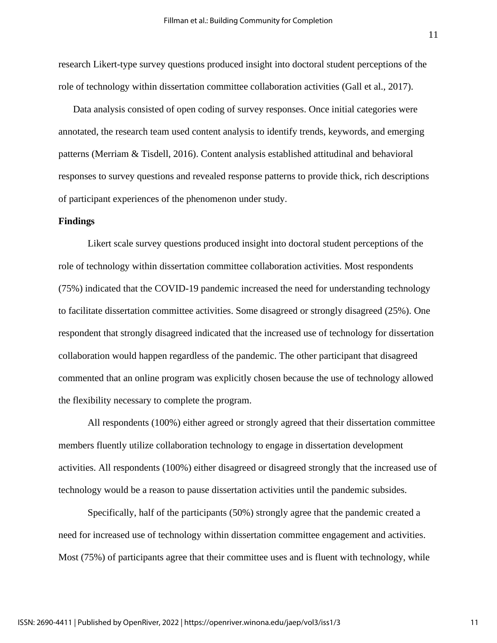research Likert-type survey questions produced insight into doctoral student perceptions of the role of technology within dissertation committee collaboration activities (Gall et al., 2017).

Data analysis consisted of open coding of survey responses. Once initial categories were annotated, the research team used content analysis to identify trends, keywords, and emerging patterns (Merriam & Tisdell, 2016). Content analysis established attitudinal and behavioral responses to survey questions and revealed response patterns to provide thick, rich descriptions of participant experiences of the phenomenon under study.

#### **Findings**

Likert scale survey questions produced insight into doctoral student perceptions of the role of technology within dissertation committee collaboration activities. Most respondents (75%) indicated that the COVID-19 pandemic increased the need for understanding technology to facilitate dissertation committee activities. Some disagreed or strongly disagreed (25%). One respondent that strongly disagreed indicated that the increased use of technology for dissertation collaboration would happen regardless of the pandemic. The other participant that disagreed commented that an online program was explicitly chosen because the use of technology allowed the flexibility necessary to complete the program.

All respondents (100%) either agreed or strongly agreed that their dissertation committee members fluently utilize collaboration technology to engage in dissertation development activities. All respondents (100%) either disagreed or disagreed strongly that the increased use of technology would be a reason to pause dissertation activities until the pandemic subsides.

Specifically, half of the participants (50%) strongly agree that the pandemic created a need for increased use of technology within dissertation committee engagement and activities. Most (75%) of participants agree that their committee uses and is fluent with technology, while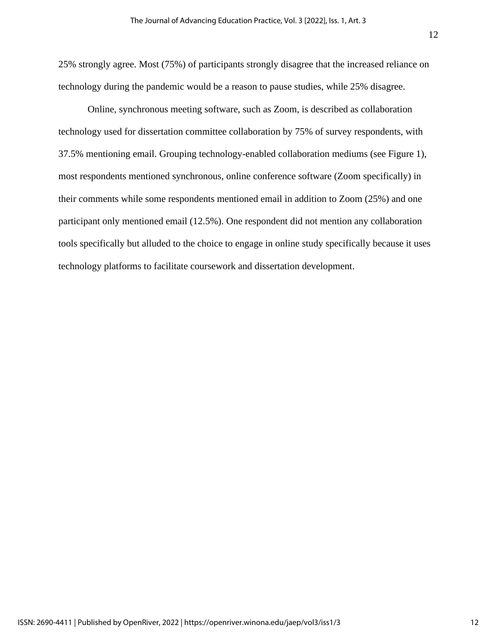25% strongly agree. Most (75%) of participants strongly disagree that the increased reliance on technology during the pandemic would be a reason to pause studies, while 25% disagree.

Online, synchronous meeting software, such as Zoom, is described as collaboration technology used for dissertation committee collaboration by 75% of survey respondents, with 37.5% mentioning email. Grouping technology-enabled collaboration mediums (see Figure 1), most respondents mentioned synchronous, online conference software (Zoom specifically) in their comments while some respondents mentioned email in addition to Zoom (25%) and one participant only mentioned email (12.5%). One respondent did not mention any collaboration tools specifically but alluded to the choice to engage in online study specifically because it uses technology platforms to facilitate coursework and dissertation development.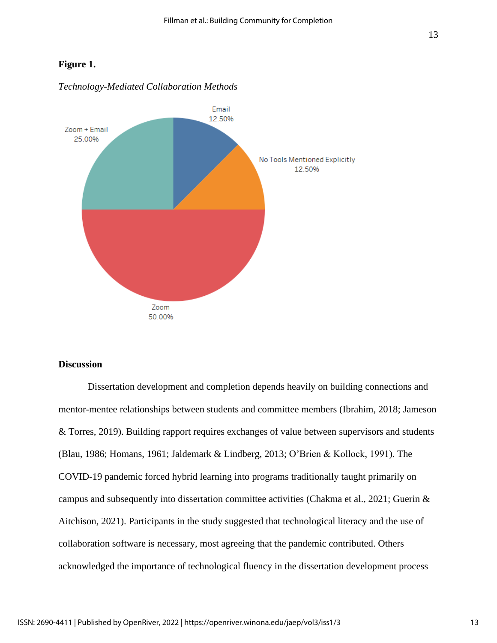### **Figure 1.**



#### *Technology-Mediated Collaboration Methods*

### **Discussion**

Dissertation development and completion depends heavily on building connections and mentor-mentee relationships between students and committee members (Ibrahim, 2018; Jameson & Torres, 2019). Building rapport requires exchanges of value between supervisors and students (Blau, 1986; Homans, 1961; Jaldemark & Lindberg, 2013; O'Brien & Kollock, 1991). The COVID-19 pandemic forced hybrid learning into programs traditionally taught primarily on campus and subsequently into dissertation committee activities (Chakma et al., 2021; Guerin & Aitchison, 2021). Participants in the study suggested that technological literacy and the use of collaboration software is necessary, most agreeing that the pandemic contributed. Others acknowledged the importance of technological fluency in the dissertation development process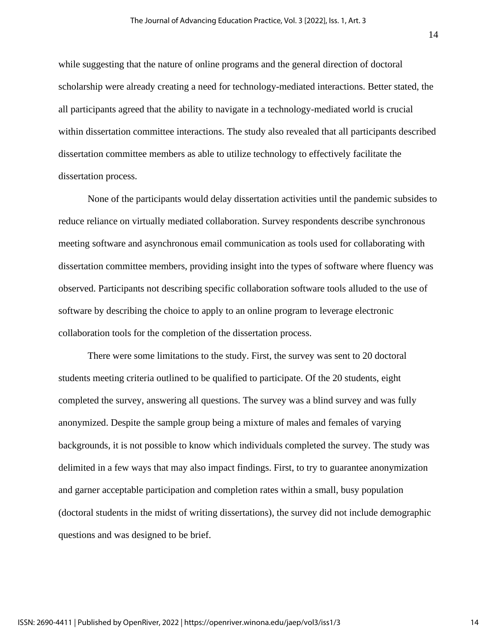while suggesting that the nature of online programs and the general direction of doctoral scholarship were already creating a need for technology-mediated interactions. Better stated, the all participants agreed that the ability to navigate in a technology-mediated world is crucial within dissertation committee interactions. The study also revealed that all participants described dissertation committee members as able to utilize technology to effectively facilitate the dissertation process.

None of the participants would delay dissertation activities until the pandemic subsides to reduce reliance on virtually mediated collaboration. Survey respondents describe synchronous meeting software and asynchronous email communication as tools used for collaborating with dissertation committee members, providing insight into the types of software where fluency was observed. Participants not describing specific collaboration software tools alluded to the use of software by describing the choice to apply to an online program to leverage electronic collaboration tools for the completion of the dissertation process.

There were some limitations to the study. First, the survey was sent to 20 doctoral students meeting criteria outlined to be qualified to participate. Of the 20 students, eight completed the survey, answering all questions. The survey was a blind survey and was fully anonymized. Despite the sample group being a mixture of males and females of varying backgrounds, it is not possible to know which individuals completed the survey. The study was delimited in a few ways that may also impact findings. First, to try to guarantee anonymization and garner acceptable participation and completion rates within a small, busy population (doctoral students in the midst of writing dissertations), the survey did not include demographic questions and was designed to be brief.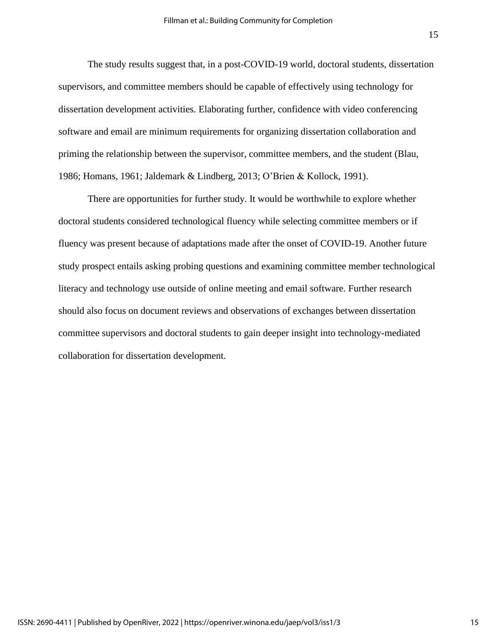The study results suggest that, in a post-COVID-19 world, doctoral students, dissertation supervisors, and committee members should be capable of effectively using technology for dissertation development activities. Elaborating further, confidence with video conferencing software and email are minimum requirements for organizing dissertation collaboration and priming the relationship between the supervisor, committee members, and the student (Blau, 1986; Homans, 1961; Jaldemark & Lindberg, 2013; O'Brien & Kollock, 1991).

There are opportunities for further study. It would be worthwhile to explore whether doctoral students considered technological fluency while selecting committee members or if fluency was present because of adaptations made after the onset of COVID-19. Another future study prospect entails asking probing questions and examining committee member technological literacy and technology use outside of online meeting and email software. Further research should also focus on document reviews and observations of exchanges between dissertation committee supervisors and doctoral students to gain deeper insight into technology-mediated collaboration for dissertation development.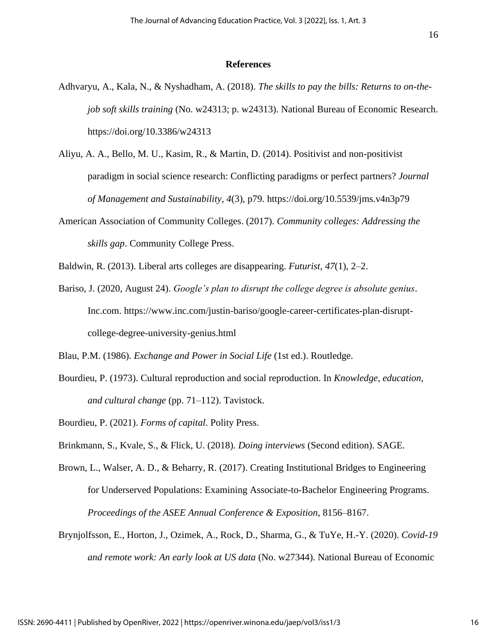#### **References**

- Adhvaryu, A., Kala, N., & Nyshadham, A. (2018). *The skills to pay the bills: Returns to on-thejob soft skills training* (No. w24313; p. w24313). National Bureau of Economic Research. https://doi.org/10.3386/w24313
- Aliyu, A. A., Bello, M. U., Kasim, R., & Martin, D. (2014). Positivist and non-positivist paradigm in social science research: Conflicting paradigms or perfect partners? *Journal of Management and Sustainability*, *4*(3), p79. https://doi.org/10.5539/jms.v4n3p79
- American Association of Community Colleges. (2017). *Community colleges: Addressing the skills gap*. Community College Press.
- Baldwin, R. (2013). Liberal arts colleges are disappearing. *Futurist*, *47*(1), 2–2.
- Bariso, J. (2020, August 24). *Google's plan to disrupt the college degree is absolute genius*. Inc.com. https://www.inc.com/justin-bariso/google-career-certificates-plan-disruptcollege-degree-university-genius.html

Blau, P.M. (1986). *Exchange and Power in Social Life* (1st ed.). Routledge.

- Bourdieu, P. (1973). Cultural reproduction and social reproduction. In *Knowledge, education, and cultural change* (pp. 71–112). Tavistock.
- Bourdieu, P. (2021). *Forms of capital*. Polity Press.
- Brinkmann, S., Kvale, S., & Flick, U. (2018). *Doing interviews* (Second edition). SAGE.
- Brown, L., Walser, A. D., & Beharry, R. (2017). Creating Institutional Bridges to Engineering for Underserved Populations: Examining Associate-to-Bachelor Engineering Programs. *Proceedings of the ASEE Annual Conference & Exposition*, 8156–8167.
- Brynjolfsson, E., Horton, J., Ozimek, A., Rock, D., Sharma, G., & TuYe, H.-Y. (2020). *Covid-19 and remote work: An early look at US data* (No. w27344). National Bureau of Economic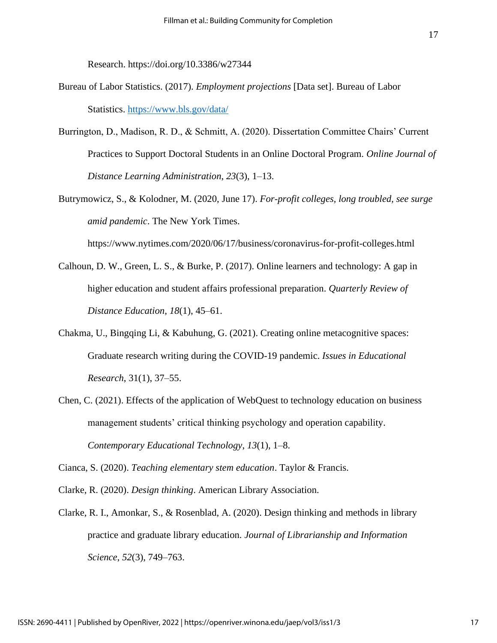Research. https://doi.org/10.3386/w27344

- Bureau of Labor Statistics. (2017). *Employment projections* [Data set]. Bureau of Labor Statistics.<https://www.bls.gov/data/>
- Burrington, D., Madison, R. D., & Schmitt, A. (2020). Dissertation Committee Chairs' Current Practices to Support Doctoral Students in an Online Doctoral Program. *Online Journal of Distance Learning Administration*, *23*(3), 1–13.
- Butrymowicz, S., & Kolodner, M. (2020, June 17). *For-profit colleges, long troubled, see surge amid pandemic*. The New York Times.

https://www.nytimes.com/2020/06/17/business/coronavirus-for-profit-colleges.html

- Calhoun, D. W., Green, L. S., & Burke, P. (2017). Online learners and technology: A gap in higher education and student affairs professional preparation. *Quarterly Review of Distance Education*, *18*(1), 45–61.
- Chakma, U., Bingqing Li, & Kabuhung, G. (2021). Creating online metacognitive spaces: Graduate research writing during the COVID-19 pandemic. *Issues in Educational Research*, 31(1), 37–55.
- Chen, C. (2021). Effects of the application of WebQuest to technology education on business management students' critical thinking psychology and operation capability. *Contemporary Educational Technology*, *13*(1), 1–8.

Cianca, S. (2020). *Teaching elementary stem education*. Taylor & Francis.

- Clarke, R. (2020). *Design thinking*. American Library Association.
- Clarke, R. I., Amonkar, S., & Rosenblad, A. (2020). Design thinking and methods in library practice and graduate library education. *Journal of Librarianship and Information Science*, *52*(3), 749–763.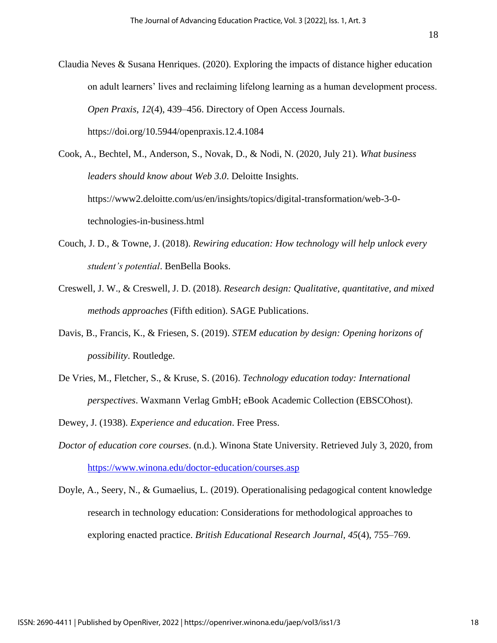Claudia Neves & Susana Henriques. (2020). Exploring the impacts of distance higher education on adult learners' lives and reclaiming lifelong learning as a human development process. *Open Praxis*, *12*(4), 439–456. Directory of Open Access Journals. https://doi.org/10.5944/openpraxis.12.4.1084

Cook, A., Bechtel, M., Anderson, S., Novak, D., & Nodi, N. (2020, July 21). *What business leaders should know about Web 3.0*. Deloitte Insights. https://www2.deloitte.com/us/en/insights/topics/digital-transformation/web-3-0 technologies-in-business.html

- Couch, J. D., & Towne, J. (2018). *Rewiring education: How technology will help unlock every student's potential*. BenBella Books.
- Creswell, J. W., & Creswell, J. D. (2018). *Research design: Qualitative, quantitative, and mixed methods approaches* (Fifth edition). SAGE Publications.
- Davis, B., Francis, K., & Friesen, S. (2019). *STEM education by design: Opening horizons of possibility*. Routledge.
- De Vries, M., Fletcher, S., & Kruse, S. (2016). *Technology education today: International perspectives*. Waxmann Verlag GmbH; eBook Academic Collection (EBSCOhost).

Dewey, J. (1938). *Experience and education*. Free Press.

*Doctor of education core courses*. (n.d.). Winona State University. Retrieved July 3, 2020, from <https://www.winona.edu/doctor-education/courses.asp>

Doyle, A., Seery, N., & Gumaelius, L. (2019). Operationalising pedagogical content knowledge research in technology education: Considerations for methodological approaches to exploring enacted practice. *British Educational Research Journal, 45*(4), 755–769.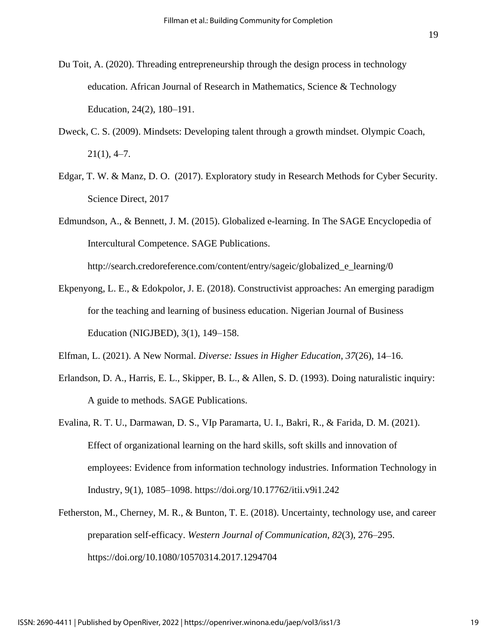- Du Toit, A. (2020). Threading entrepreneurship through the design process in technology education. African Journal of Research in Mathematics, Science & Technology Education, 24(2), 180–191.
- Dweck, C. S. (2009). Mindsets: Developing talent through a growth mindset. Olympic Coach,  $21(1)$ , 4–7.
- Edgar, T. W. & Manz, D. O. (2017). Exploratory study in [Research Methods for Cyber Security.](https://www.sciencedirect.com/book/9780128053492/research-methods-for-cyber-security) Science Direct, 2017
- Edmundson, A., & Bennett, J. M. (2015). Globalized e-learning. In The SAGE Encyclopedia of Intercultural Competence. SAGE Publications.

http://search.credoreference.com/content/entry/sageic/globalized\_e\_learning/0

Ekpenyong, L. E., & Edokpolor, J. E. (2018). Constructivist approaches: An emerging paradigm for the teaching and learning of business education. Nigerian Journal of Business Education (NIGJBED), 3(1), 149–158.

Elfman, L. (2021). A New Normal. *Diverse: Issues in Higher Education*, *37*(26), 14–16.

- Erlandson, D. A., Harris, E. L., Skipper, B. L., & Allen, S. D. (1993). Doing naturalistic inquiry: A guide to methods. SAGE Publications.
- Evalina, R. T. U., Darmawan, D. S., VIp Paramarta, U. I., Bakri, R., & Farida, D. M. (2021). Effect of organizational learning on the hard skills, soft skills and innovation of employees: Evidence from information technology industries. Information Technology in Industry, 9(1), 1085–1098. https://doi.org/10.17762/itii.v9i1.242
- Fetherston, M., Cherney, M. R., & Bunton, T. E. (2018). Uncertainty, technology use, and career preparation self-efficacy. *Western Journal of Communication*, *82*(3), 276–295. https://doi.org/10.1080/10570314.2017.1294704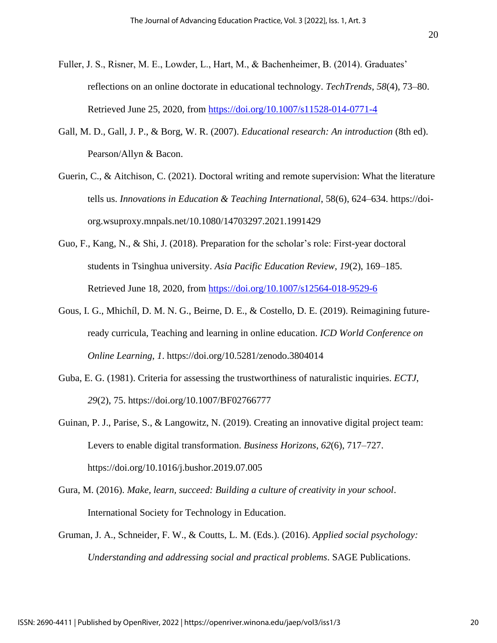- Fuller, J. S., Risner, M. E., Lowder, L., Hart, M., & Bachenheimer, B. (2014). Graduates' reflections on an online doctorate in educational technology. *TechTrends*, *58*(4), 73–80. Retrieved June 25, 2020, from<https://doi.org/10.1007/s11528-014-0771-4>
- Gall, M. D., Gall, J. P., & Borg, W. R. (2007). *Educational research: An introduction* (8th ed). Pearson/Allyn & Bacon.
- Guerin, C., & Aitchison, C. (2021). Doctoral writing and remote supervision: What the literature tells us. *Innovations in Education & Teaching International*, 58(6), 624–634. https://doiorg.wsuproxy.mnpals.net/10.1080/14703297.2021.1991429
- Guo, F., Kang, N., & Shi, J. (2018). Preparation for the scholar's role: First-year doctoral students in Tsinghua university. *Asia Pacific Education Review*, *19*(2), 169–185. Retrieved June 18, 2020, from<https://doi.org/10.1007/s12564-018-9529-6>
- Gous, I. G., Mhichíl, D. M. N. G., Beirne, D. E., & Costello, D. E. (2019). Reimagining futureready curricula, Teaching and learning in online education. *ICD World Conference on Online Learning*, *1*. https://doi.org/10.5281/zenodo.3804014
- Guba, E. G. (1981). Criteria for assessing the trustworthiness of naturalistic inquiries. *ECTJ*, *29*(2), 75. https://doi.org/10.1007/BF02766777
- Guinan, P. J., Parise, S., & Langowitz, N. (2019). Creating an innovative digital project team: Levers to enable digital transformation. *Business Horizons*, *62*(6), 717–727. https://doi.org/10.1016/j.bushor.2019.07.005
- Gura, M. (2016). *Make, learn, succeed: Building a culture of creativity in your school*. International Society for Technology in Education.
- Gruman, J. A., Schneider, F. W., & Coutts, L. M. (Eds.). (2016). *Applied social psychology: Understanding and addressing social and practical problems*. SAGE Publications.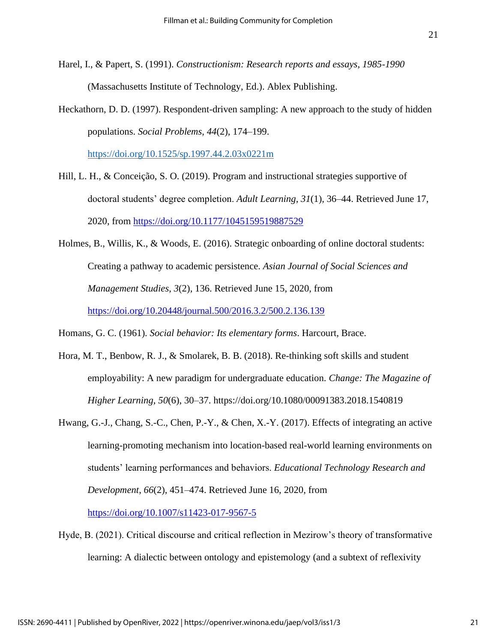- Harel, I., & Papert, S. (1991). *Constructionism: Research reports and essays, 1985-1990* (Massachusetts Institute of Technology, Ed.). Ablex Publishing.
- Heckathorn, D. D. (1997). Respondent-driven sampling: A new approach to the study of hidden populations. *Social Problems*, *44*(2), 174–199.

<https://doi.org/10.1525/sp.1997.44.2.03x0221m>

- Hill, L. H., & Conceição, S. O. (2019). Program and instructional strategies supportive of doctoral students' degree completion. *Adult Learning*, *31*(1), 36–44. Retrieved June 17, 2020, from<https://doi.org/10.1177/1045159519887529>
- Holmes, B., Willis, K., & Woods, E. (2016). Strategic onboarding of online doctoral students: Creating a pathway to academic persistence. *Asian Journal of Social Sciences and Management Studies*, *3*(2), 136. Retrieved June 15, 2020, from <https://doi.org/10.20448/journal.500/2016.3.2/500.2.136.139>

Homans, G. C. (1961). *Social behavior: Its elementary forms*. Harcourt, Brace.

- Hora, M. T., Benbow, R. J., & Smolarek, B. B. (2018). Re-thinking soft skills and student employability: A new paradigm for undergraduate education. *Change: The Magazine of Higher Learning*, *50*(6), 30–37. https://doi.org/10.1080/00091383.2018.1540819
- Hwang, G.-J., Chang, S.-C., Chen, P.-Y., & Chen, X.-Y. (2017). Effects of integrating an active learning-promoting mechanism into location-based real-world learning environments on students' learning performances and behaviors. *Educational Technology Research and Development*, *66*(2), 451–474. Retrieved June 16, 2020, from

<https://doi.org/10.1007/s11423-017-9567-5>

Hyde, B. (2021). Critical discourse and critical reflection in Mezirow's theory of transformative learning: A dialectic between ontology and epistemology (and a subtext of reflexivity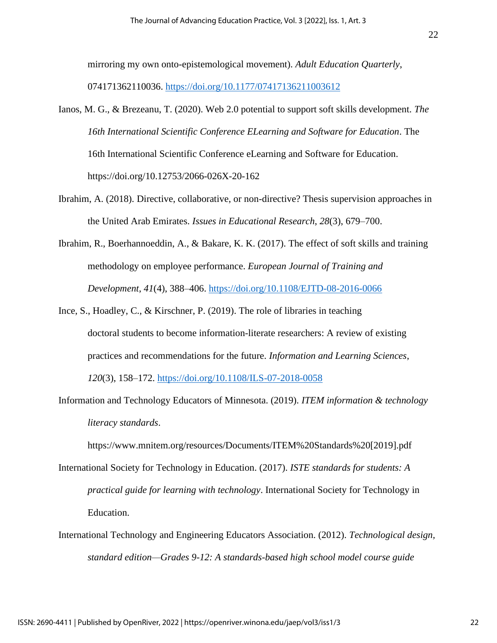mirroring my own onto-epistemological movement). *Adult Education Quarterly*,

074171362110036.<https://doi.org/10.1177/07417136211003612>

- Ianos, M. G., & Brezeanu, T. (2020). Web 2.0 potential to support soft skills development. *The 16th International Scientific Conference ELearning and Software for Education*. The 16th International Scientific Conference eLearning and Software for Education. https://doi.org/10.12753/2066-026X-20-162
- Ibrahim, A. (2018). Directive, collaborative, or non-directive? Thesis supervision approaches in the United Arab Emirates. *Issues in Educational Research*, *28*(3), 679–700.
- Ibrahim, R., Boerhannoeddin, A., & Bakare, K. K. (2017). The effect of soft skills and training methodology on employee performance. *European Journal of Training and Development*, *41*(4), 388–406.<https://doi.org/10.1108/EJTD-08-2016-0066>
- Ince, S., Hoadley, C., & Kirschner, P. (2019). The role of libraries in teaching doctoral students to become information-literate researchers: A review of existing practices and recommendations for the future. *Information and Learning Sciences*, *120*(3), 158–172.<https://doi.org/10.1108/ILS-07-2018-0058>
- Information and Technology Educators of Minnesota. (2019). *ITEM information & technology literacy standards*.

https://www.mnitem.org/resources/Documents/ITEM%20Standards%20[2019].pdf

- International Society for Technology in Education. (2017). *ISTE standards for students: A practical guide for learning with technology*. International Society for Technology in Education.
- International Technology and Engineering Educators Association. (2012). *Technological design, standard edition—Grades 9-12: A standards-based high school model course guide*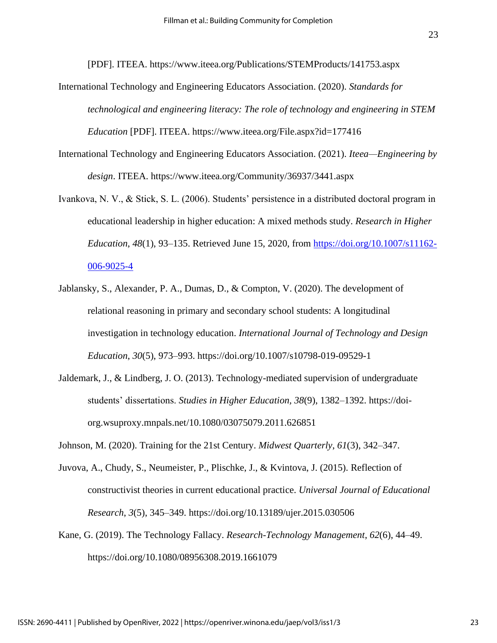[PDF]. ITEEA. https://www.iteea.org/Publications/STEMProducts/141753.aspx

- International Technology and Engineering Educators Association. (2020). *Standards for technological and engineering literacy: The role of technology and engineering in STEM Education* [PDF]. ITEEA. https://www.iteea.org/File.aspx?id=177416
- International Technology and Engineering Educators Association. (2021). *Iteea—Engineering by design*. ITEEA. https://www.iteea.org/Community/36937/3441.aspx
- Ivankova, N. V., & Stick, S. L. (2006). Students' persistence in a distributed doctoral program in educational leadership in higher education: A mixed methods study. *Research in Higher Education*, *48*(1), 93–135. Retrieved June 15, 2020, from [https://doi.org/10.1007/s11162-](https://doi.org/10.1007/s11162-006-9025-4) [006-9025-4](https://doi.org/10.1007/s11162-006-9025-4)
- Jablansky, S., Alexander, P. A., Dumas, D., & Compton, V. (2020). The development of relational reasoning in primary and secondary school students: A longitudinal investigation in technology education. *International Journal of Technology and Design Education*, *30*(5), 973–993. https://doi.org/10.1007/s10798-019-09529-1
- Jaldemark, J., & Lindberg, J. O. (2013). Technology-mediated supervision of undergraduate students' dissertations. *Studies in Higher Education, 38*(9), 1382–1392. https://doiorg.wsuproxy.mnpals.net/10.1080/03075079.2011.626851
- Johnson, M. (2020). Training for the 21st Century. *Midwest Quarterly*, *61*(3), 342–347.
- Juvova, A., Chudy, S., Neumeister, P., Plischke, J., & Kvintova, J. (2015). Reflection of constructivist theories in current educational practice. *Universal Journal of Educational Research*, *3*(5), 345–349. https://doi.org/10.13189/ujer.2015.030506
- Kane, G. (2019). The Technology Fallacy. *Research-Technology Management*, *62*(6), 44–49. https://doi.org/10.1080/08956308.2019.1661079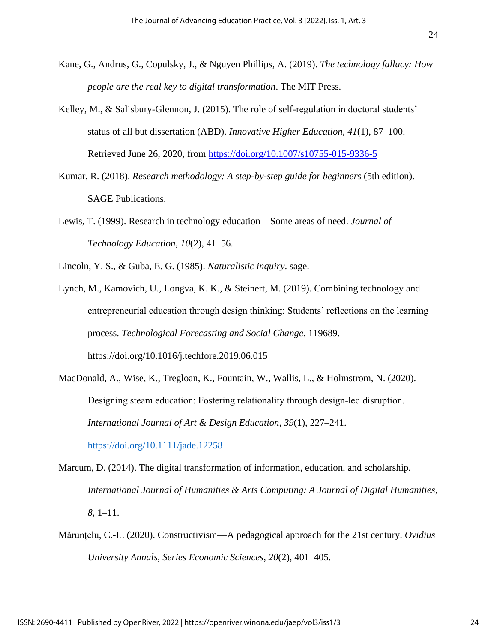- Kane, G., Andrus, G., Copulsky, J., & Nguyen Phillips, A. (2019). *The technology fallacy: How people are the real key to digital transformation*. The MIT Press.
- Kelley, M., & Salisbury-Glennon, J. (2015). The role of self-regulation in doctoral students' status of all but dissertation (ABD). *Innovative Higher Education*, *41*(1), 87–100. Retrieved June 26, 2020, from<https://doi.org/10.1007/s10755-015-9336-5>
- Kumar, R. (2018). *Research methodology: A step-by-step guide for beginners* (5th edition). SAGE Publications.
- Lewis, T. (1999). Research in technology education—Some areas of need. *Journal of Technology Education*, *10*(2), 41–56.

Lincoln, Y. S., & Guba, E. G. (1985). *Naturalistic inquiry*. sage.

- Lynch, M., Kamovich, U., Longva, K. K., & Steinert, M. (2019). Combining technology and entrepreneurial education through design thinking: Students' reflections on the learning process. *Technological Forecasting and Social Change*, 119689. https://doi.org/10.1016/j.techfore.2019.06.015
- MacDonald, A., Wise, K., Tregloan, K., Fountain, W., Wallis, L., & Holmstrom, N. (2020). Designing steam education: Fostering relationality through design-led disruption. *International Journal of Art & Design Education*, *39*(1), 227–241. <https://doi.org/10.1111/jade.12258>

Marcum, D. (2014). The digital transformation of information, education, and scholarship. *International Journal of Humanities & Arts Computing: A Journal of Digital Humanities*, *8*, 1–11.

Mărunțelu, C.-L. (2020). Constructivism—A pedagogical approach for the 21st century. *Ovidius University Annals, Series Economic Sciences*, *20*(2), 401–405.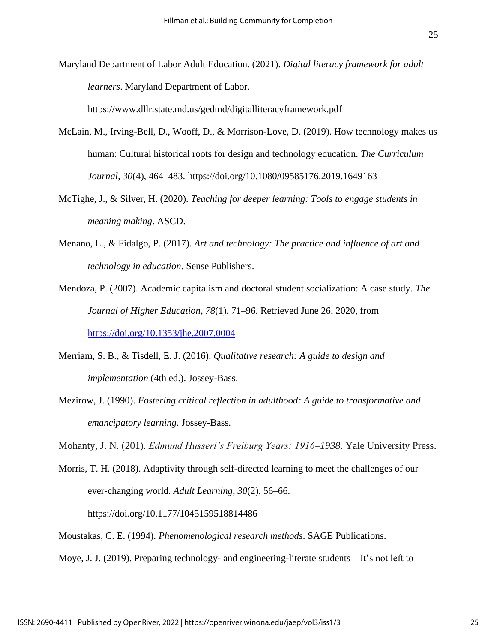Maryland Department of Labor Adult Education. (2021). *Digital literacy framework for adult learners*. Maryland Department of Labor.

https://www.dllr.state.md.us/gedmd/digitalliteracyframework.pdf

- McLain, M., Irving-Bell, D., Wooff, D., & Morrison-Love, D. (2019). How technology makes us human: Cultural historical roots for design and technology education. *The Curriculum Journal*, *30*(4), 464–483. https://doi.org/10.1080/09585176.2019.1649163
- McTighe, J., & Silver, H. (2020). *Teaching for deeper learning: Tools to engage students in meaning making*. ASCD.
- Menano, L., & Fidalgo, P. (2017). *Art and technology: The practice and influence of art and technology in education*. Sense Publishers.
- Mendoza, P. (2007). Academic capitalism and doctoral student socialization: A case study. *The Journal of Higher Education*, *78*(1), 71–96. Retrieved June 26, 2020, from <https://doi.org/10.1353/jhe.2007.0004>
- Merriam, S. B., & Tisdell, E. J. (2016). *Qualitative research: A guide to design and implementation* (4th ed.). Jossey-Bass.
- Mezirow, J. (1990). *Fostering critical reflection in adulthood: A guide to transformative and emancipatory learning*. Jossey-Bass.

Mohanty, J. N. (201). *Edmund Husserl's Freiburg Years: 1916–1938*. Yale University Press.

Morris, T. H. (2018). Adaptivity through self-directed learning to meet the challenges of our ever-changing world. *Adult Learning*, *30*(2), 56–66.

https://doi.org/10.1177/1045159518814486

Moustakas, C. E. (1994). *Phenomenological research methods*. SAGE Publications.

Moye, J. J. (2019). Preparing technology- and engineering-literate students—It's not left to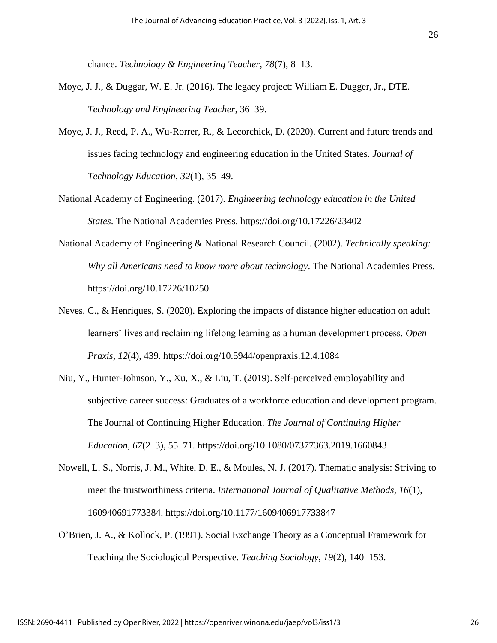chance. *Technology & Engineering Teacher*, *78*(7), 8–13.

- Moye, J. J., & Duggar, W. E. Jr. (2016). The legacy project: William E. Dugger, Jr., DTE. *Technology and Engineering Teacher*, 36–39.
- Moye, J. J., Reed, P. A., Wu-Rorrer, R., & Lecorchick, D. (2020). Current and future trends and issues facing technology and engineering education in the United States. *Journal of Technology Education*, *32*(1), 35–49.
- National Academy of Engineering. (2017). *Engineering technology education in the United States*. The National Academies Press. https://doi.org/10.17226/23402
- National Academy of Engineering & National Research Council. (2002). *Technically speaking: Why all Americans need to know more about technology*. The National Academies Press. https://doi.org/10.17226/10250
- Neves, C., & Henriques, S. (2020). Exploring the impacts of distance higher education on adult learners' lives and reclaiming lifelong learning as a human development process. *Open Praxis*, *12*(4), 439. https://doi.org/10.5944/openpraxis.12.4.1084
- Niu, Y., Hunter-Johnson, Y., Xu, X., & Liu, T. (2019). Self-perceived employability and subjective career success: Graduates of a workforce education and development program. The Journal of Continuing Higher Education. *The Journal of Continuing Higher Education*, *67*(2–3), 55–71. https://doi.org/10.1080/07377363.2019.1660843
- Nowell, L. S., Norris, J. M., White, D. E., & Moules, N. J. (2017). Thematic analysis: Striving to meet the trustworthiness criteria. *International Journal of Qualitative Methods*, *16*(1), 160940691773384. https://doi.org/10.1177/1609406917733847
- O'Brien, J. A., & Kollock, P. (1991). Social Exchange Theory as a Conceptual Framework for Teaching the Sociological Perspective*. Teaching Sociology, 19*(2), 140–153.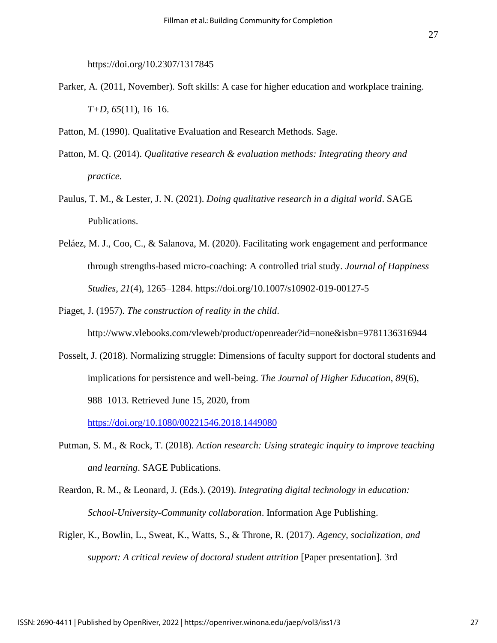https://doi.org/10.2307/1317845

Parker, A. (2011, November). Soft skills: A case for higher education and workplace training. *T+D*, *65*(11), 16–16.

Patton, M. (1990). Qualitative Evaluation and Research Methods. Sage.

- Patton, M. Q. (2014). *Qualitative research & evaluation methods: Integrating theory and practice*.
- Paulus, T. M., & Lester, J. N. (2021). *Doing qualitative research in a digital world*. SAGE Publications.
- Peláez, M. J., Coo, C., & Salanova, M. (2020). Facilitating work engagement and performance through strengths-based micro-coaching: A controlled trial study. *Journal of Happiness Studies*, *21*(4), 1265–1284. https://doi.org/10.1007/s10902-019-00127-5
- Piaget, J. (1957). *The construction of reality in the child*.

http://www.vlebooks.com/vleweb/product/openreader?id=none&isbn=9781136316944

- Posselt, J. (2018). Normalizing struggle: Dimensions of faculty support for doctoral students and implications for persistence and well-being. *The Journal of Higher Education*, *89*(6), 988–1013. Retrieved June 15, 2020, from <https://doi.org/10.1080/00221546.2018.1449080>
- Putman, S. M., & Rock, T. (2018). *Action research: Using strategic inquiry to improve teaching and learning*. SAGE Publications.
- Reardon, R. M., & Leonard, J. (Eds.). (2019). *Integrating digital technology in education: School-University-Community collaboration*. Information Age Publishing.
- Rigler, K., Bowlin, L., Sweat, K., Watts, S., & Throne, R. (2017). *Agency, socialization, and support: A critical review of doctoral student attrition* [Paper presentation]. 3rd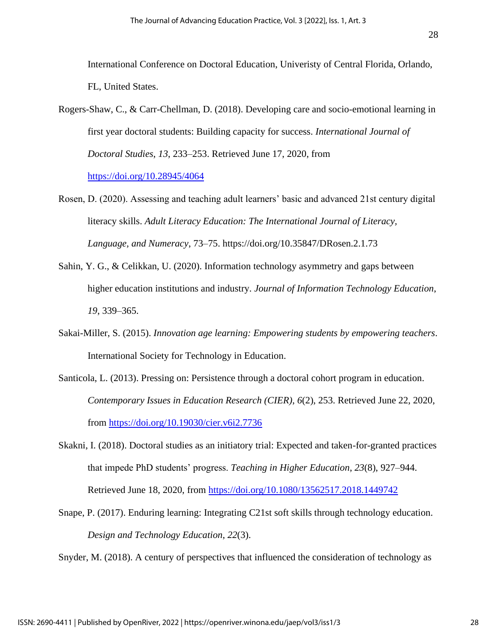Rogers-Shaw, C., & Carr-Chellman, D. (2018). Developing care and socio-emotional learning in first year doctoral students: Building capacity for success. *International Journal of Doctoral Studies*, *13*, 233–253. Retrieved June 17, 2020, from <https://doi.org/10.28945/4064>

Rosen, D. (2020). Assessing and teaching adult learners' basic and advanced 21st century digital literacy skills. *Adult Literacy Education: The International Journal of Literacy, Language, and Numeracy*, 73–75. https://doi.org/10.35847/DRosen.2.1.73

- Sahin, Y. G., & Celikkan, U. (2020). Information technology asymmetry and gaps between higher education institutions and industry. *Journal of Information Technology Education*, *19*, 339–365.
- Sakai-Miller, S. (2015). *Innovation age learning: Empowering students by empowering teachers*. International Society for Technology in Education.
- Santicola, L. (2013). Pressing on: Persistence through a doctoral cohort program in education. *Contemporary Issues in Education Research (CIER)*, *6*(2), 253. Retrieved June 22, 2020, from<https://doi.org/10.19030/cier.v6i2.7736>
- Skakni, I. (2018). Doctoral studies as an initiatory trial: Expected and taken-for-granted practices that impede PhD students' progress. *Teaching in Higher Education*, *23*(8), 927–944. Retrieved June 18, 2020, from<https://doi.org/10.1080/13562517.2018.1449742>
- Snape, P. (2017). Enduring learning: Integrating C21st soft skills through technology education. *Design and Technology Education*, *22*(3).

Snyder, M. (2018). A century of perspectives that influenced the consideration of technology as